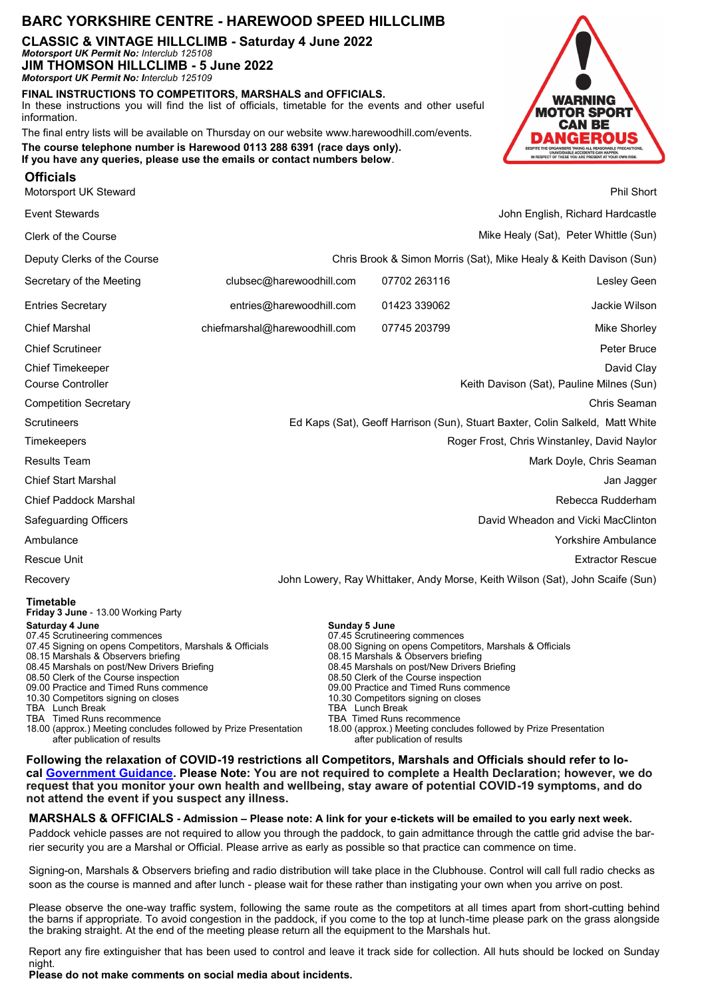# **BARC YORKSHIRE CENTRE - HAREWOOD SPEED HILLCLIMB**

**CLASSIC & VINTAGE HILLCLIMB - Saturday 4 June 2022**  *Motorsport UK Permit No: Interclub 125108* **JIM THOMSON HILLCLIMB - 5 June 2022** 

*Motorsport UK Permit No: Interclub 125109*

**FINAL INSTRUCTIONS TO COMPETITORS, MARSHALS and OFFICIALS.** In these instructions you will find the list of officials, timetable for the events and other useful information.

The final entry lists will be available on Thursday on our website www.harewoodhill.com/events. **The course telephone number is Harewood 0113 288 6391 (race days only). If you have any queries, please use the emails or contact numbers below**.



| <b>Officials</b>       |            |
|------------------------|------------|
| Motorsport LIK Steward | Phil Short |

| motoroport on otomara                                                                                                                                                                                                                                                                                                                                                                                                                                                                                                               |                                                                               |                                         |                                                                                                                                                                                                                                                                                                                  |                                                                                                                              |                                       |  |
|-------------------------------------------------------------------------------------------------------------------------------------------------------------------------------------------------------------------------------------------------------------------------------------------------------------------------------------------------------------------------------------------------------------------------------------------------------------------------------------------------------------------------------------|-------------------------------------------------------------------------------|-----------------------------------------|------------------------------------------------------------------------------------------------------------------------------------------------------------------------------------------------------------------------------------------------------------------------------------------------------------------|------------------------------------------------------------------------------------------------------------------------------|---------------------------------------|--|
| <b>Event Stewards</b>                                                                                                                                                                                                                                                                                                                                                                                                                                                                                                               |                                                                               |                                         |                                                                                                                                                                                                                                                                                                                  |                                                                                                                              | John English, Richard Hardcastle      |  |
| Clerk of the Course                                                                                                                                                                                                                                                                                                                                                                                                                                                                                                                 |                                                                               |                                         |                                                                                                                                                                                                                                                                                                                  |                                                                                                                              | Mike Healy (Sat), Peter Whittle (Sun) |  |
| Deputy Clerks of the Course                                                                                                                                                                                                                                                                                                                                                                                                                                                                                                         | Chris Brook & Simon Morris (Sat), Mike Healy & Keith Davison (Sun)            |                                         |                                                                                                                                                                                                                                                                                                                  |                                                                                                                              |                                       |  |
| Secretary of the Meeting                                                                                                                                                                                                                                                                                                                                                                                                                                                                                                            | clubsec@harewoodhill.com                                                      |                                         | 07702 263116                                                                                                                                                                                                                                                                                                     |                                                                                                                              | Lesley Geen                           |  |
| <b>Entries Secretary</b>                                                                                                                                                                                                                                                                                                                                                                                                                                                                                                            | entries@harewoodhill.com                                                      |                                         | 01423 339062                                                                                                                                                                                                                                                                                                     |                                                                                                                              | Jackie Wilson                         |  |
| <b>Chief Marshal</b>                                                                                                                                                                                                                                                                                                                                                                                                                                                                                                                | chiefmarshal@harewoodhill.com                                                 |                                         | 07745 203799                                                                                                                                                                                                                                                                                                     |                                                                                                                              | Mike Shorley                          |  |
| <b>Chief Scrutineer</b>                                                                                                                                                                                                                                                                                                                                                                                                                                                                                                             |                                                                               |                                         |                                                                                                                                                                                                                                                                                                                  |                                                                                                                              | Peter Bruce                           |  |
| <b>Chief Timekeeper</b>                                                                                                                                                                                                                                                                                                                                                                                                                                                                                                             |                                                                               |                                         |                                                                                                                                                                                                                                                                                                                  |                                                                                                                              | David Clay                            |  |
| <b>Course Controller</b>                                                                                                                                                                                                                                                                                                                                                                                                                                                                                                            | Keith Davison (Sat), Pauline Milnes (Sun)                                     |                                         |                                                                                                                                                                                                                                                                                                                  |                                                                                                                              |                                       |  |
| <b>Competition Secretary</b>                                                                                                                                                                                                                                                                                                                                                                                                                                                                                                        |                                                                               |                                         |                                                                                                                                                                                                                                                                                                                  |                                                                                                                              | Chris Seaman                          |  |
| Scrutineers                                                                                                                                                                                                                                                                                                                                                                                                                                                                                                                         | Ed Kaps (Sat), Geoff Harrison (Sun), Stuart Baxter, Colin Salkeld, Matt White |                                         |                                                                                                                                                                                                                                                                                                                  |                                                                                                                              |                                       |  |
| Timekeepers                                                                                                                                                                                                                                                                                                                                                                                                                                                                                                                         | Roger Frost, Chris Winstanley, David Naylor                                   |                                         |                                                                                                                                                                                                                                                                                                                  |                                                                                                                              |                                       |  |
| <b>Results Team</b>                                                                                                                                                                                                                                                                                                                                                                                                                                                                                                                 | Mark Doyle, Chris Seaman                                                      |                                         |                                                                                                                                                                                                                                                                                                                  |                                                                                                                              |                                       |  |
| <b>Chief Start Marshal</b>                                                                                                                                                                                                                                                                                                                                                                                                                                                                                                          | Jan Jagger                                                                    |                                         |                                                                                                                                                                                                                                                                                                                  |                                                                                                                              |                                       |  |
| <b>Chief Paddock Marshal</b>                                                                                                                                                                                                                                                                                                                                                                                                                                                                                                        | Rebecca Rudderham                                                             |                                         |                                                                                                                                                                                                                                                                                                                  |                                                                                                                              |                                       |  |
| Safeguarding Officers                                                                                                                                                                                                                                                                                                                                                                                                                                                                                                               | David Wheadon and Vicki MacClinton                                            |                                         |                                                                                                                                                                                                                                                                                                                  |                                                                                                                              |                                       |  |
| Ambulance                                                                                                                                                                                                                                                                                                                                                                                                                                                                                                                           | Yorkshire Ambulance                                                           |                                         |                                                                                                                                                                                                                                                                                                                  |                                                                                                                              |                                       |  |
| Rescue Unit                                                                                                                                                                                                                                                                                                                                                                                                                                                                                                                         |                                                                               |                                         |                                                                                                                                                                                                                                                                                                                  |                                                                                                                              | <b>Extractor Rescue</b>               |  |
| Recovery                                                                                                                                                                                                                                                                                                                                                                                                                                                                                                                            | John Lowery, Ray Whittaker, Andy Morse, Keith Wilson (Sat), John Scaife (Sun) |                                         |                                                                                                                                                                                                                                                                                                                  |                                                                                                                              |                                       |  |
| Timetable<br>Friday 3 June - 13.00 Working Party<br>Saturday 4 June<br>07.45 Scrutineering commences<br>07.45 Signing on opens Competitors, Marshals & Officials<br>08.15 Marshals & Observers briefing<br>08.45 Marshals on post/New Drivers Briefing<br>08.50 Clerk of the Course inspection<br>09.00 Practice and Timed Runs commence<br>10.30 Competitors signing on closes<br>TBA Lunch Break<br>TBA Timed Runs recommence<br>18.00 (approx.) Meeting concludes followed by Prize Presentation<br>after publication of results |                                                                               | Sunday 5 June<br><b>TBA</b> Lunch Break | 07.45 Scrutineering commences<br>08.15 Marshals & Observers briefing<br>08.45 Marshals on post/New Drivers Briefing<br>08.50 Clerk of the Course inspection<br>09.00 Practice and Timed Runs commence<br>10.30 Competitors signing on closes<br><b>TBA Timed Runs recommence</b><br>after publication of results | 08.00 Signing on opens Competitors, Marshals & Officials<br>18.00 (approx.) Meeting concludes followed by Prize Presentation |                                       |  |

**Following the relaxation of COVID-19 restrictions all Competitors, Marshals and Officials should refer to local [Government Guidance.](https://www.gov.uk/coronavirus) Please Note: You are not required to complete a Health Declaration; however, we do request that you monitor your own health and wellbeing, stay aware of potential COVID-19 symptoms, and do not attend the event if you suspect any illness.**

**MARSHALS & OFFICIALS - Admission – Please note: A link for your e-tickets will be emailed to you early next week.** Paddock vehicle passes are not required to allow you through the paddock, to gain admittance through the cattle grid advise the barrier security you are a Marshal or Official. Please arrive as early as possible so that practice can commence on time.

Signing-on, Marshals & Observers briefing and radio distribution will take place in the Clubhouse. Control will call full radio checks as soon as the course is manned and after lunch - please wait for these rather than instigating your own when you arrive on post.

Please observe the one-way traffic system, following the same route as the competitors at all times apart from short-cutting behind the barns if appropriate. To avoid congestion in the paddock, if you come to the top at lunch-time please park on the grass alongside the braking straight. At the end of the meeting please return all the equipment to the Marshals hut.

Report any fire extinguisher that has been used to control and leave it track side for collection. All huts should be locked on Sunday night.

**Please do not make comments on social media about incidents.**